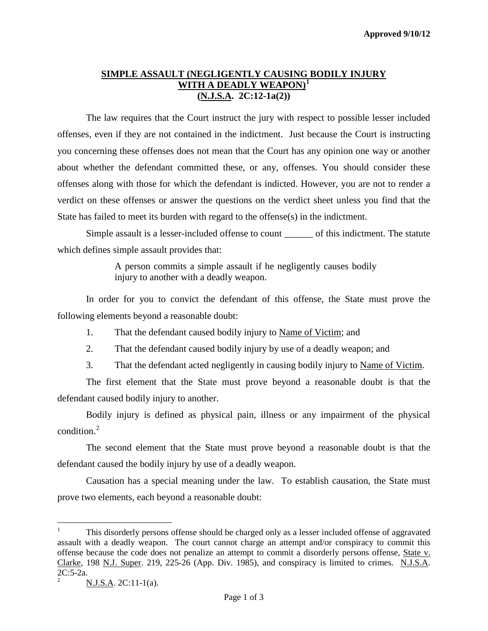# **SIMPLE ASSAULT (NEGLIGENTLY CAUSING BODILY INJURY WITH A DEADLY WEAPON) [1](#page-0-0) (N.J.S.A. 2C:12-1a(2))**

The law requires that the Court instruct the jury with respect to possible lesser included offenses, even if they are not contained in the indictment. Just because the Court is instructing you concerning these offenses does not mean that the Court has any opinion one way or another about whether the defendant committed these, or any, offenses. You should consider these offenses along with those for which the defendant is indicted. However, you are not to render a verdict on these offenses or answer the questions on the verdict sheet unless you find that the State has failed to meet its burden with regard to the offense(s) in the indictment.

Simple assault is a lesser-included offense to count \_\_\_\_\_\_ of this indictment. The statute which defines simple assault provides that:

> A person commits a simple assault if he negligently causes bodily injury to another with a deadly weapon.

In order for you to convict the defendant of this offense, the State must prove the following elements beyond a reasonable doubt:

- 1. That the defendant caused bodily injury to Name of Victim; and
- 2. That the defendant caused bodily injury by use of a deadly weapon; and
- 3. That the defendant acted negligently in causing bodily injury to Name of Victim.

The first element that the State must prove beyond a reasonable doubt is that the defendant caused bodily injury to another.

Bodily injury is defined as physical pain, illness or any impairment of the physical condition.<sup>[2](#page-0-1)</sup>

The second element that the State must prove beyond a reasonable doubt is that the defendant caused the bodily injury by use of a deadly weapon.

Causation has a special meaning under the law. To establish causation, the State must prove two elements, each beyond a reasonable doubt:

<span id="page-0-0"></span> $\frac{1}{1}$  This disorderly persons offense should be charged only as a lesser included offense of aggravated assault with a deadly weapon. The court cannot charge an attempt and/or conspiracy to commit this offense because the code does not penalize an attempt to commit a disorderly persons offense, State v. Clarke, 198 N.J. Super. 219, 225-26 (App. Div. 1985), and conspiracy is limited to crimes. N.J.S.A. 2C:5-2a.

<span id="page-0-2"></span><span id="page-0-1"></span><sup>2</sup> N.J.S.A. 2C:11-1(a).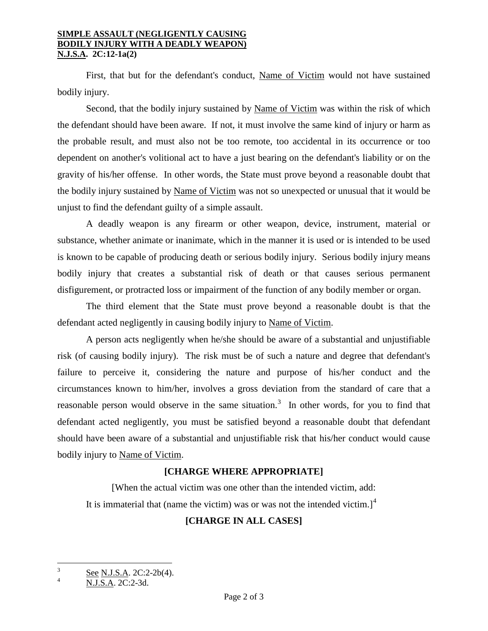#### **SIMPLE ASSAULT (NEGLIGENTLY CAUSING BODILY INJURY WITH A DEADLY WEAPON) N.J.S.A. 2C:12-1a(2)**

First, that but for the defendant's conduct, Name of Victim would not have sustained bodily injury.

Second, that the bodily injury sustained by Name of Victim was within the risk of which the defendant should have been aware. If not, it must involve the same kind of injury or harm as the probable result, and must also not be too remote, too accidental in its occurrence or too dependent on another's volitional act to have a just bearing on the defendant's liability or on the gravity of his/her offense. In other words, the State must prove beyond a reasonable doubt that the bodily injury sustained by Name of Victim was not so unexpected or unusual that it would be unjust to find the defendant guilty of a simple assault.

A deadly weapon is any firearm or other weapon, device, instrument, material or substance, whether animate or inanimate, which in the manner it is used or is intended to be used is known to be capable of producing death or serious bodily injury. Serious bodily injury means bodily injury that creates a substantial risk of death or that causes serious permanent disfigurement, or protracted loss or impairment of the function of any bodily member or organ.

The third element that the State must prove beyond a reasonable doubt is that the defendant acted negligently in causing bodily injury to Name of Victim.

A person acts negligently when he/she should be aware of a substantial and unjustifiable risk (of causing bodily injury). The risk must be of such a nature and degree that defendant's failure to perceive it, considering the nature and purpose of his/her conduct and the circumstances known to him/her, involves a gross deviation from the standard of care that a reasonable person would observe in the same situation.<sup>[3](#page-0-2)</sup> In other words, for you to find that defendant acted negligently, you must be satisfied beyond a reasonable doubt that defendant should have been aware of a substantial and unjustifiable risk that his/her conduct would cause bodily injury to Name of Victim.

# **[CHARGE WHERE APPROPRIATE]**

[When the actual victim was one other than the intended victim, add: It is immaterial that (name the victim) was or was not the intended victim.]<sup>[4](#page-1-0)</sup>

# **[CHARGE IN ALL CASES]**

 $\overline{3}$  $\frac{3}{4}$  See N.J.S.A. 2C:2-2b(4).

<span id="page-1-0"></span><sup>4</sup> N.J.S.A. 2C:2-3d.